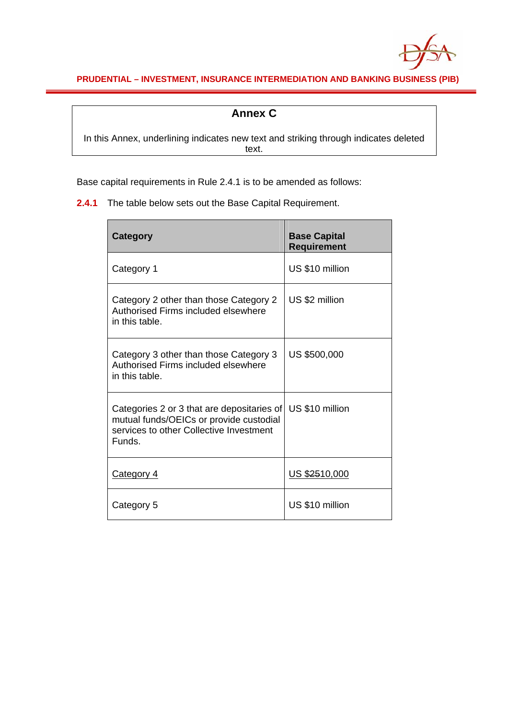

**PRUDENTIAL – INVESTMENT, INSURANCE INTERMEDIATION AND BANKING BUSINESS (PIB)**

## **Annex C**

In this Annex, underlining indicates new text and striking through indicates deleted text.

Base capital requirements in Rule 2.4.1 is to be amended as follows:

**2.4.1** The table below sets out the Base Capital Requirement.

| <b>Category</b>                                                                                                                                              | <b>Base Capital</b><br><b>Requirement</b> |
|--------------------------------------------------------------------------------------------------------------------------------------------------------------|-------------------------------------------|
| Category 1                                                                                                                                                   | US \$10 million                           |
| Category 2 other than those Category 2<br>Authorised Firms included elsewhere<br>in this table.                                                              | US \$2 million                            |
| Category 3 other than those Category 3<br>Authorised Firms included elsewhere<br>in this table.                                                              | US \$500,000                              |
| Categories 2 or 3 that are depositaries of   US \$10 million<br>mutual funds/OEICs or provide custodial<br>services to other Collective Investment<br>Funds. |                                           |
| Category 4                                                                                                                                                   | US \$2510,000                             |
| Category 5                                                                                                                                                   | US \$10 million                           |